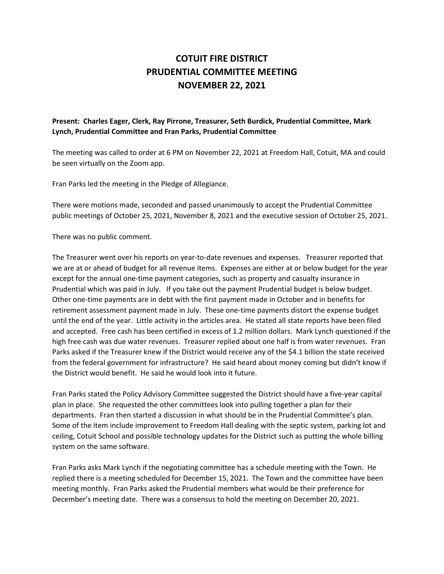## **COTUIT FIRE DISTRICT PRUDENTIAL COMMITTEE MEETING NOVEMBER 22, 2021**

## **Present: Charles Eager, Clerk, Ray Pirrone, Treasurer, Seth Burdick, Prudential Committee, Mark Lynch, Prudential Committee and Fran Parks, Prudential Committee**

The meeting was called to order at 6 PM on November 22, 2021 at Freedom Hall, Cotuit, MA and could be seen virtually on the Zoom app.

Fran Parks led the meeting in the Pledge of Allegiance.

There were motions made, seconded and passed unanimously to accept the Prudential Committee public meetings of October 25, 2021, November 8, 2021 and the executive session of October 25, 2021.

There was no public comment.

The Treasurer went over his reports on year-to-date revenues and expenses. Treasurer reported that we are at or ahead of budget for all revenue items. Expenses are either at or below budget for the year except for the annual one-time payment categories, such as property and casualty insurance in Prudential which was paid in July. If you take out the payment Prudential budget is below budget. Other one-time payments are in debt with the first payment made in October and in benefits for retirement assessment payment made in July. These one-time payments distort the expense budget until the end of the year. Little activity in the articles area. He stated all state reports have been filed and accepted. Free cash has been certified in excess of 1.2 million dollars. Mark Lynch questioned if the high free cash was due water revenues. Treasurer replied about one half is from water revenues. Fran Parks asked if the Treasurer knew if the District would receive any of the \$4.1 billion the state received from the federal government for infrastructure? He said heard about money coming but didn't know if the District would benefit. He said he would look into it future.

Fran Parks stated the Policy Advisory Committee suggested the District should have a five-year capital plan in place. She requested the other committees look into pulling together a plan for their departments. Fran then started a discussion in what should be in the Prudential Committee's plan. Some of the item include improvement to Freedom Hall dealing with the septic system, parking lot and ceiling, Cotuit School and possible technology updates for the District such as putting the whole billing system on the same software.

Fran Parks asks Mark Lynch if the negotiating committee has a schedule meeting with the Town. He replied there is a meeting scheduled for December 15, 2021. The Town and the committee have been meeting monthly. Fran Parks asked the Prudential members what would be their preference for December's meeting date. There was a consensus to hold the meeting on December 20, 2021.